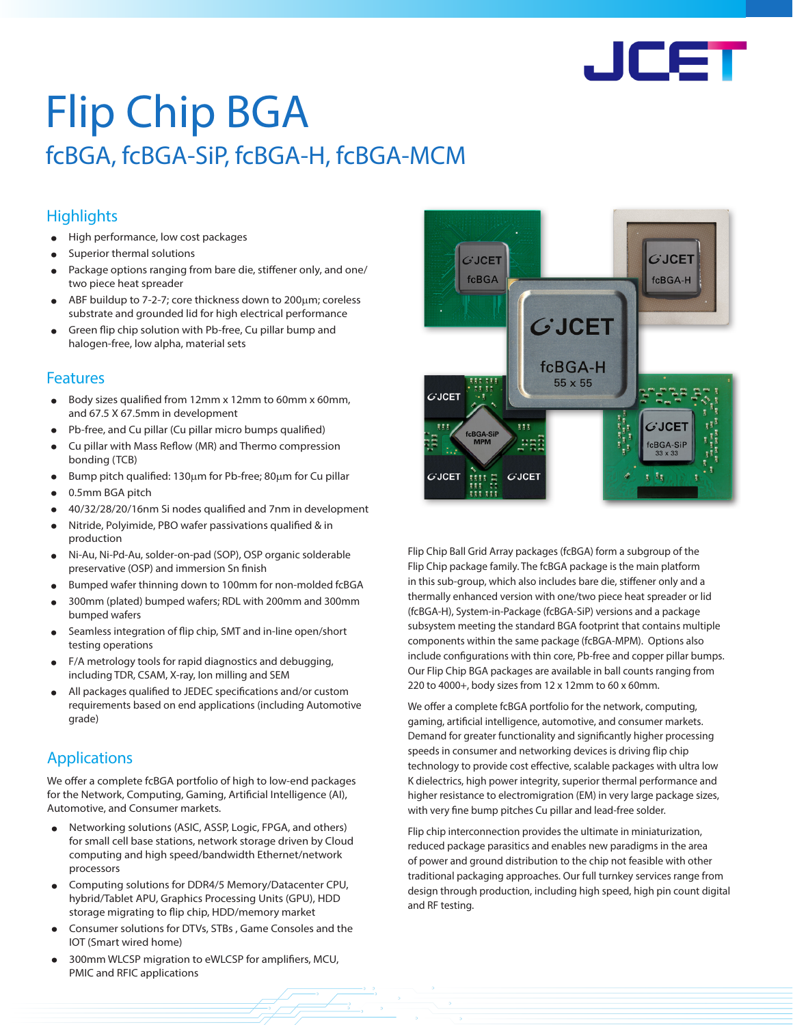

# Flip Chip BGA fcBGA, fcBGA-SiP, fcBGA-H, fcBGA-MCM

# **Highlights**

- High performance, low cost packages
- Superior thermal solutions
- Package options ranging from bare die, stiffener only, and one/ two piece heat spreader
- ABF buildup to 7-2-7; core thickness down to 200μm; coreless substrate and grounded lid for high electrical performance
- Green flip chip solution with Pb-free, Cu pillar bump and halogen-free, low alpha, material sets

### Features

- Body sizes qualified from 12mm x 12mm to 60mm x 60mm, and 67.5 X 67.5mm in development
- Pb-free, and Cu pillar (Cu pillar micro bumps qualified)
- Cu pillar with Mass Reflow (MR) and Thermo compression bonding (TCB)
- Bump pitch qualified: 130µm for Pb-free; 80µm for Cu pillar
- 0.5mm BGA pitch
- 40/32/28/20/16nm Si nodes qualified and 7nm in development
- Nitride, Polyimide, PBO wafer passivations qualified & in production
- Ni-Au, Ni-Pd-Au, solder-on-pad (SOP), OSP organic solderable preservative (OSP) and immersion Sn finish
- Bumped wafer thinning down to 100mm for non-molded fcBGA
- 300mm (plated) bumped wafers; RDL with 200mm and 300mm bumped wafers
- Seamless integration of flip chip, SMT and in-line open/short testing operations
- F/A metrology tools for rapid diagnostics and debugging, including TDR, CSAM, X-ray, Ion milling and SEM
- All packages qualified to JEDEC specifications and/or custom requirements based on end applications (including Automotive grade)

# Applications

We offer a complete fcBGA portfolio of high to low-end packages for the Network, Computing, Gaming, Artificial Intelligence (AI), Automotive, and Consumer markets.

- Networking solutions (ASIC, ASSP, Logic, FPGA, and others) for small cell base stations, network storage driven by Cloud computing and high speed/bandwidth Ethernet/network processors
- Computing solutions for DDR4/5 Memory/Datacenter CPU, hybrid/Tablet APU, Graphics Processing Units (GPU), HDD storage migrating to flip chip, HDD/memory market
- Consumer solutions for DTVs, STBs , Game Consoles and the IOT (Smart wired home)
- 300mm WLCSP migration to eWLCSP for amplifiers, MCU, PMIC and RFIC applications



Flip Chip Ball Grid Array packages (fcBGA) form a subgroup of the Flip Chip package family. The fcBGA package is the main platform in this sub-group, which also includes bare die, stiffener only and a thermally enhanced version with one/two piece heat spreader or lid (fcBGA-H), System-in-Package (fcBGA-SiP) versions and a package subsystem meeting the standard BGA footprint that contains multiple components within the same package (fcBGA-MPM). Options also include configurations with thin core, Pb-free and copper pillar bumps. Our Flip Chip BGA packages are available in ball counts ranging from 220 to 4000+, body sizes from 12 x 12mm to 60 x 60mm.

We offer a complete fcBGA portfolio for the network, computing, gaming, artificial intelligence, automotive, and consumer markets. Demand for greater functionality and significantly higher processing speeds in consumer and networking devices is driving flip chip technology to provide cost effective, scalable packages with ultra low K dielectrics, high power integrity, superior thermal performance and higher resistance to electromigration (EM) in very large package sizes, with very fine bump pitches Cu pillar and lead-free solder.

Flip chip interconnection provides the ultimate in miniaturization, reduced package parasitics and enables new paradigms in the area of power and ground distribution to the chip not feasible with other traditional packaging approaches. Our full turnkey services range from design through production, including high speed, high pin count digital and RF testing.